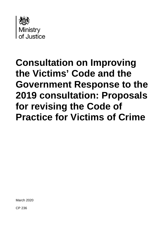

# **Consultation on Improving the Victims' Code and the Government Response to the 2019 consultation: Proposals for revising the Code of Practice for Victims of Crime**

March 2020

CP 236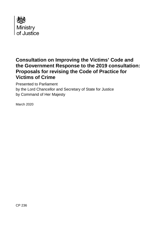

### **Consultation on Improving the Victims' Code and the Government Response to the 2019 consultation: Proposals for revising the Code of Practice for Victims of Crime**

Presented to Parliament by the Lord Chancellor and Secretary of State for Justice by Command of Her Majesty

March 2020

CP 236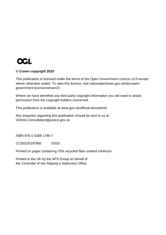

#### **© Crown copyright 2020**

This publication is licensed under the terms of the Open Government Licence v3.0 except where otherwise stated. To view this licence, visit [nationalarchives.gov.uk/doc/open](http://nationalarchives.gov.uk/doc/open-government-licence/version/3/)[government-licence/version/3](http://nationalarchives.gov.uk/doc/open-government-licence/version/3/)

Where we have identified any third party copyright information you will need to obtain permission from the copyright holders concerned.

This publication is available at [www.gov.uk/official-documents](http://www.gov.uk/official-documents)

Any enquiries regarding this publication should be sent to us at [Victims.Consultation@justice.gov.uk.](mailto:Victims.Consultation@justice.gov.uk)

ISBN 978-1-5286-1785-7

CCS0220197850 03/20

Printed on paper containing 75% recycled fibre content minimum

Printed in the UK by the APS Group on behalf of the Controller of Her Majesty's Stationery Office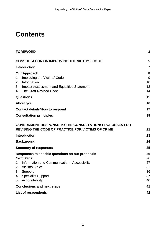## **Contents**

| <b>FOREWORD</b>                                                                                                                                                                                                               | 3                                      |
|-------------------------------------------------------------------------------------------------------------------------------------------------------------------------------------------------------------------------------|----------------------------------------|
| <b>CONSULTATION ON IMPROVING THE VICTIMS' CODE</b>                                                                                                                                                                            | 5                                      |
| <b>Introduction</b>                                                                                                                                                                                                           | 7                                      |
| <b>Our Approach</b><br>Improving the Victims' Code<br>1.<br>Information<br>2.<br>3.<br>Impact Assessment and Equalities Statement<br>4. The Draft Revised Code                                                                | 8<br>9<br>10<br>12<br>14               |
| <b>Questions</b>                                                                                                                                                                                                              | 15                                     |
| About you                                                                                                                                                                                                                     | 16                                     |
| <b>Contact details/How to respond</b>                                                                                                                                                                                         | 17                                     |
| <b>Consultation principles</b>                                                                                                                                                                                                | 19                                     |
| <b>GOVERNMENT RESPONSE TO THE CONSULTATION: PROPOSALS FOR</b><br><b>REVISING THE CODE OF PRACTICE FOR VICTIMS OF CRIME</b><br><b>Introduction</b>                                                                             | 21<br>23                               |
| <b>Background</b>                                                                                                                                                                                                             | 24                                     |
| <b>Summary of responses</b>                                                                                                                                                                                                   | 25                                     |
| Responses to specific questions on our proposals<br><b>Next Steps</b><br>Information and Communication - Accessibility<br>1.<br>2. Victims' Voice<br>3.<br>Support<br><b>Specialist Support</b><br>4.<br>Accountability<br>5. | 26<br>26<br>27<br>32<br>36<br>37<br>40 |
| <b>Conclusions and next steps</b>                                                                                                                                                                                             | 41                                     |
| <b>List of respondents</b>                                                                                                                                                                                                    | 42                                     |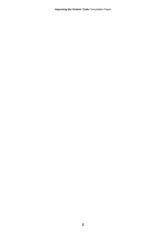**Improving the Victims' Code** Consultation Paper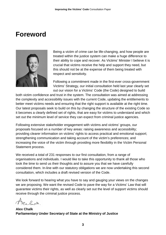### <span id="page-5-0"></span>**Foreword**



Being a victim of crime can be life-changing, and how people are treated within the justice system can make a huge difference to their ability to cope and recover. As Victims' Minister I believe it is crucial that victims receive the help and support they need, but this should not be at the expense of them being treated with respect and sensitivity.

Following a commitment made in the first-ever cross-government Victims' Strategy, our initial consultation held last year clearly set out our vision for a Victims' Code (the Code) designed to build

both victim confidence and trust in the system. The consultation was aimed at addressing the complexity and accessibility issues with the current Code, updating the entitlements to better meet victims needs and ensuring that the right support is available at the right time. Our latest proposals seek to build on this by changing the structure of the existing Code so it becomes a clearly defined set of rights, that are easy for victims to understand and which set out the minimum level of service they can expect from criminal justice agencies.

Following extensive stakeholder engagement with victims and victims' groups, our proposals focused on a number of key areas: raising awareness and accessibility; providing clearer information on victims' rights to access practical and emotional support; strengthening communication and taking account of the victim's preferences; and increasing the voice of the victim through providing more flexibility in the Victim Personal Statement process.

We received a total of 231 responses to our first consultation, from a range of organisations and individuals. I would like to take this opportunity to thank all those who took the time to send us their thoughts and to assure you that we have carefully considered them. In-line with our statutory obligations we are now undertaking this second consultation, which includes a draft revised version of the Code.

We look forward to hearing what you have to say and gauging your views on the changes we are proposing. We want the revised Code to pave the way for a Victims' Law that will guarantee victims their rights, as well as clearly set out the level of support victims should receive through the criminal justice process.

P. all

**Alex Chalk Parliamentary Under Secretary of State at the Ministry of Justice**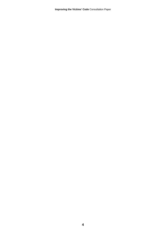**Improving the Victims' Code** Consultation Paper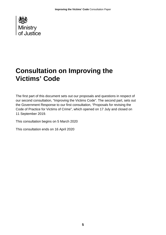

## <span id="page-7-0"></span>**Consultation on Improving the Victims' Code**

The first part of this document sets out our proposals and questions in respect of our second consultation, "Improving the Victims Code". The second part, sets out the Government Response to our first consultation, "Proposals for revising the Code of Practice for Victims of Crime", which opened on 17 July and closed on 11 September 2019.

This consultation begins on 5 March 2020

This consultation ends on 16 April 2020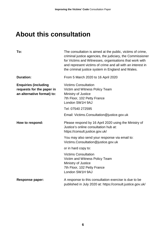## **About this consultation**

| To:                                                                                    | The consultation is aimed at the public, victims of crime,<br>criminal justice agencies, the judiciary, the Commissioner<br>for Victims and Witnesses, organisations that work with<br>and represent victims of crime and all with an interest in<br>the criminal justice system in England and Wales. |
|----------------------------------------------------------------------------------------|--------------------------------------------------------------------------------------------------------------------------------------------------------------------------------------------------------------------------------------------------------------------------------------------------------|
| <b>Duration:</b>                                                                       | From 5 March 2020 to 16 April 2020                                                                                                                                                                                                                                                                     |
| <b>Enquiries (including</b><br>requests for the paper in<br>an alternative format) to: | <b>Victims Consultation</b><br>Victim and Witness Policy Team<br><b>Ministry of Justice</b><br>7th Floor, 102 Petty France<br>London SW1H 9AJ                                                                                                                                                          |
|                                                                                        | Tel: 07540 272595                                                                                                                                                                                                                                                                                      |
|                                                                                        | Email: Victims.Consultation@justice.gov.uk                                                                                                                                                                                                                                                             |
| How to respond:                                                                        | Please respond by 16 April 2020 using the Ministry of<br>Justice's online consultation hub at:<br>https://consult.justice.gov.uk/                                                                                                                                                                      |
|                                                                                        | You may also send your response via email to:<br>Victims.Consultation@justice.gov.uk                                                                                                                                                                                                                   |
|                                                                                        | or in hard copy to:                                                                                                                                                                                                                                                                                    |
|                                                                                        | <b>Victims Consultation</b><br>Victim and Witness Policy Team<br>Ministry of Justice<br>7th Floor, 102 Petty France<br>London SW1H 9AJ                                                                                                                                                                 |
| Response paper:                                                                        | A response to this consultation exercise is due to be<br>published in July 2020 at: https://consult.justice.gov.uk/                                                                                                                                                                                    |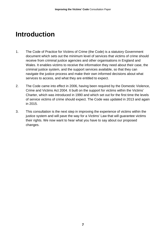## <span id="page-9-0"></span>**Introduction**

- 1. The Code of Practice for Victims of Crime (the Code) is a statutory Government document which sets out the minimum level of services that victims of crime should receive from criminal justice agencies and other organisations in England and Wales. It enables victims to receive the information they need about their case, the criminal justice system, and the support services available, so that they can navigate the justice process and make their own informed decisions about what services to access, and what they are entitled to expect.
- 2. The Code came into effect in 2006, having been required by the Domestic Violence, Crime and Victims Act 2004. It built on the support for victims within the Victims' Charter, which was introduced in 1990 and which set out for the first time the levels of service victims of crime should expect. The Code was updated in 2013 and again in 2015.
- 3. This consultation is the next step in improving the experience of victims within the justice system and will pave the way for a Victims' Law that will guarantee victims their rights. We now want to hear what you have to say about our proposed changes.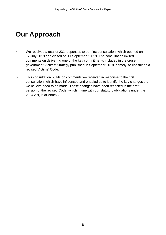## <span id="page-10-0"></span>**Our Approach**

- 4. We received a total of 231 responses to our first consultation, which opened on 17 July 2019 and closed on 11 September 2019. The consultation invited comments on delivering one of the key commitments included in the crossgovernment Victims' Strategy published in September 2018, namely, to consult on a revised Victims' Code.
- 5. This consultation builds on comments we received in response to the first consultation, which have influenced and enabled us to identify the key changes that we believe need to be made. These changes have been reflected in the draft version of the revised Code, which in-line with our statutory obligations under the 2004 Act, is at Annex A.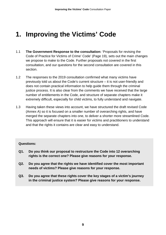## <span id="page-11-0"></span>**1. Improving the Victims' Code**

- 1.1 **The Government Response to the consultation:** 'Proposals for revising the Code of Practice for Victims of Crime' Code' (Page 19), sets out the main changes we propose to make to the Code. Further proposals not covered in the first consultation, and our questions for the second consultation are covered in this section.
- 1.2 The responses to the 2019 consultation confirmed what many victims have previously told us about the Code's current structure – it is not user-friendly and does not contain practical information to help guide them through the criminal justice process. It is also clear from the comments we have received that the large number of entitlements in the Code, and structure of separate chapters make it extremely difficult, especially for child victims, to fully understand and navigate.
- 1.3 Having taken these views into account, we have structured the draft revised Code (Annex A) so it is focused on a smaller number of overarching rights, and have merged the separate chapters into one, to deliver a shorter more streamlined Code. This approach will ensure that it is easier for victims and practitioners to understand and that the rights it contains are clear and easy to understand.

#### **Questions:**

- **Q1. Do you think our proposal to restructure the Code into 12 overarching rights is the correct one? Please give reasons for your response.**
- **Q2. Do you agree that the rights we have identified cover the most important needs of victims? Please give reasons for your response.**
- **Q3. Do you agree that these rights cover the key stages of a victim's journey in the criminal justice system? Please give reasons for your response.**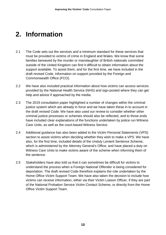## <span id="page-12-0"></span>**2. Information**

- 2.1 The Code sets out the services and a minimum standard for these services that must be provided to victims of crime in England and Wales. We know that some families bereaved by the murder or manslaughter of British nationals committed outside of the United Kingdom can find it difficult to obtain information about the support available. To assist them, and for the first time, we have included in the draft revised Code, information on support provided by the Foreign and Commonwealth Office (FCO).
- 2.2 We have also included practical information about how victims can access services provided by the National Health Service (NHS) and sign-posted where they can get help and advice if approached by the media.
- 2.3 The 2019 consultation paper highlighted a number of changes within the criminal justice system which are already in force and we have taken these in to account in the draft revised Code. We have also used our review to consider whether other criminal justice processes or schemes should also be reflected, and to those ends have included clear explanations of the functions undertaken by police run Witness Care Units, as well as the court-based Witness Service.
- 2.4 Additional guidance has also been added to the Victim Personal Statements (VPS) section to assist victims when deciding whether they wish to make a VPS. We have also, for the first time, included details of the Unduly Lenient Sentence Scheme, which is administered by the Attorney General's Office, and have placed a duty on Witness Care Units to make victims aware of the scheme when informing them of the sentence.
- 2.5 Stakeholders have also told us that it can sometimes be difficult for victims to understand the process when a Foreign National Offender is being considered for deportation. The draft revised Code therefore explains the role undertaken by the Home Office Victim Support Team. We have also taken the decision to include how victims can receive information, either via their Victim Liaison Officer, if they are part of the National Probation Service Victim Contact Scheme, or directly from the Home Office Victim Support Team.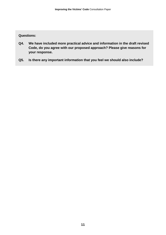**Questions:**

- **Q4. We have included more practical advice and information in the draft revised Code, do you agree with our proposed approach? Please give reasons for your response.**
- **Q5. Is there any important information that you feel we should also include?**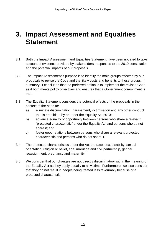### <span id="page-14-0"></span>**3. Impact Assessment and Equalities Statement**

- 3.1 Both the Impact Assessment and Equalities Statement have been updated to take account of evidence provided by stakeholders, responses to the 2019 consultation and the potential impacts of our proposals.
- 3.2 The Impact Assessment's purpose is to identify the main groups affected by our proposals to revise the Code and the likely costs and benefits to those groups. In summary, it concludes that the preferred option is to implement the revised Code, as it both meets policy objectives and ensures that a Government commitment is met.
- 3.3 The Equality Statement considers the potential effects of the proposals in the context of the need to:
	- a) eliminate discrimination, harassment, victimisation and any other conduct that is prohibited by or under the Equality Act 2010;
	- b) advance equality of opportunity between persons who share a relevant "protected characteristic" under the Equality Act and persons who do not share it; and
	- c) foster good relations between persons who share a relevant protected characteristic and persons who do not share it.
- 3.4 The protected characteristics under the Act are race, sex, disability, sexual orientation, religion or belief, age, marriage and civil partnership, gender reassignment, pregnancy and maternity.
- 3.5 We consider that our changes are not directly discriminatory within the meaning of the Equality Act as they apply equally to all victims. Furthermore, we also consider that they do not result in people being treated less favourably because of a protected characteristic.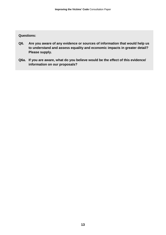**Questions:**

- **Q6. Are you aware of any evidence or sources of information that would help us to understand and assess equality and economic impacts in greater detail? Please supply.**
- **Q6a. If you are aware, what do you believe would be the effect of this evidence/ information on our proposals?**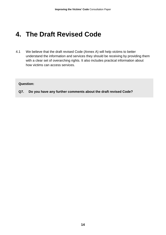## <span id="page-16-0"></span>**4. The Draft Revised Code**

4.1 We believe that the draft revised Code (Annex A) will help victims to better understand the information and services they should be receiving by providing them with a clear set of overarching rights. It also includes practical information about how victims can access services.

#### **Question:**

**Q7. Do you have any further comments about the draft revised Code?**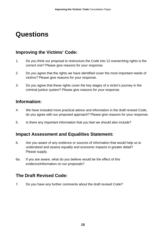## <span id="page-17-0"></span>**Questions**

### **Improving the Victims' Code:**

- 1. Do you think our proposal to restructure the Code into 12 overarching rights is the correct one? Please give reasons for your response.
- 2. Do you agree that the rights we have identified cover the most important needs of victims? Please give reasons for your response.
- 3. Do you agree that these rights cover the key stages of a victim's journey in the criminal justice system? Please give reasons for your response.

### **Information:**

- 4. We have included more practical advice and information in the draft revised Code, do you agree with our proposed approach? Please give reasons for your response.
- 5. Is there any important information that you feel we should also include?

### **Impact Assessment and Equalities Statement:**

- 6. Are you aware of any evidence or sources of information that would help us to understand and assess equality and economic impacts in greater detail? Please supply.
- 6a. If you are aware, what do you believe would be the effect of this evidence/information on our proposals?

### **The Draft Revised Code:**

7. Do you have any further comments about the draft revised Code?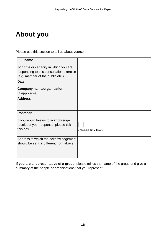## <span id="page-18-0"></span>**About you**

Please use this section to tell us about yourself

| <b>Full name</b>                              |                   |
|-----------------------------------------------|-------------------|
| <b>Job title</b> or capacity in which you are |                   |
| responding to this consultation exercise      |                   |
| (e.g. member of the public etc.)              |                   |
| Date                                          |                   |
| <b>Company name/organisation</b>              |                   |
| (if applicable):                              |                   |
| <b>Address</b>                                |                   |
|                                               |                   |
| <b>Postcode</b>                               |                   |
| If you would like us to acknowledge           |                   |
| receipt of your response, please tick         |                   |
| this box                                      | (please tick box) |
| Address to which the acknowledgement          |                   |
| should be sent, if different from above       |                   |
|                                               |                   |
|                                               |                   |
|                                               |                   |

**If you are a representative of a group**, please tell us the name of the group and give a summary of the people or organisations that you represent.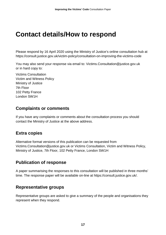## <span id="page-19-0"></span>**Contact details/How to respond**

Please respond by 16 April 2020 using the Ministry of Justice's online consultation hub at <https://consult.justice.gov.uk/victim-policy/consultation-on-improving-the-victims-code>

You may also send your response via email to: [Victims.Consultation@justice.gov.uk](mailto:Victims.Consultation@justice.gov.uk) or in hard copy to:

Victims Consultation Victim and Witness Policy Ministry of Justice 7th Floor 102 Petty France London SW1H

### **Complaints or comments**

If you have any complaints or comments about the consultation process you should contact the Ministry of Justice at the above address.

### **Extra copies**

Alternative format versions of this publication can be requested from [Victims.Consultation@justice.gov.uk](mailto:Victims.Consultation@justice.gov.uk) or Victims Consultation, Victim and Witness Policy, Ministry of Justice, 7th Floor, 102 Petty France, London SW1H

### **Publication of response**

A paper summarising the responses to this consultation will be published in three months' time. The response paper will be available on-line at [https://consult.justice.gov.uk/.](https://consult.justice.gov.uk/)

### **Representative groups**

Representative groups are asked to give a summary of the people and organisations they represent when they respond.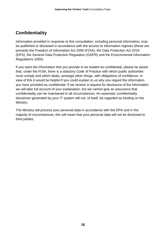### **Confidentiality**

Information provided in response to this consultation, including personal information, may be published or disclosed in accordance with the access to information regimes (these are primarily the Freedom of Information Act 2000 (FOIA), the Data Protection Act 2018 (DPA), the General Data Protection Regulation (GDPR) and the Environmental Information Regulations 2004).

If you want the information that you provide to be treated as confidential, please be aware that, under the FOIA, there is a statutory Code of Practice with which public authorities must comply and which deals, amongst other things, with obligations of confidence. In view of this it would be helpful if you could explain to us why you regard the information you have provided as confidential. If we receive a request for disclosure of the information we will take full account of your explanation, but we cannot give an assurance that confidentiality can be maintained in all circumstances. An automatic confidentiality disclaimer generated by your IT system will not, of itself, be regarded as binding on the Ministry.

The Ministry will process your personal data in accordance with the DPA and in the majority of circumstances, this will mean that your personal data will not be disclosed to third parties.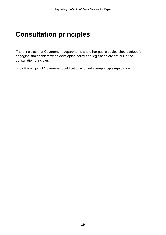## <span id="page-21-0"></span>**Consultation principles**

The principles that Government departments and other public bodies should adopt for engaging stakeholders when developing policy and legislation are set out in the consultation principles.

<https://www.gov.uk/government/publications/consultation-principles-guidance>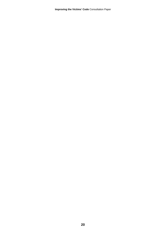**Improving the Victims' Code** Consultation Paper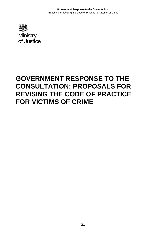

## <span id="page-23-0"></span>**GOVERNMENT RESPONSE TO THE CONSULTATION: PROPOSALS FOR REVISING THE CODE OF PRACTICE FOR VICTIMS OF CRIME**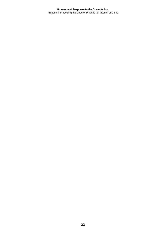#### **Government Response to the Consultation:** Proposals for revising the Code of Practice for Victims' of Crime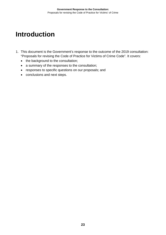## <span id="page-25-0"></span>**Introduction**

- 1. This document is the Government's response to the outcome of the 2019 consultation: "Proposals for revising the Code of Practice for Victims of Crime Code". It covers:
	- the background to the consultation;
	- a summary of the responses to the consultation;
	- responses to specific questions on our proposals; and
	- conclusions and next steps.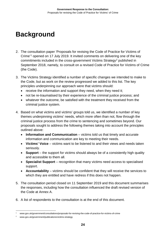## <span id="page-26-0"></span>**Background**

- 2. The consultation paper 'Proposals for revising the Code of Practice for Victims of Crime'[1](#page-26-1) opened on 17 July 2019. It invited comments on delivering one of the key commitments included in the cross-government Victims Strategy<sup>[2](#page-26-2)</sup> published in September 2018, namely, to consult on a revised Code of Practice for Victims of Crime (the Code).
- 3. The Victims Strategy identified a number of specific changes we intended to make to the Code, but as work on the review progressed we added to this list. The key principles underpinning our approach were that victims should:
	- receive the information and support they need, when they need it;
	- not be re-traumatised by their experience of the criminal justice process; and
	- whatever the outcome, be satisfied with the treatment they received from the criminal justice system.
- 4. Based on what victims and victims' groups told us, we identified a number of key themes underpinning victims' needs, which more often than not, flow through the criminal justice process from the crime to sentencing and sometimes beyond. Our proposals sought to address the following themes taking into account the principles outlined above:
	- **Information and Communication** victims told us that timely and accurate information and communication are key to meeting their needs.
	- **Victims' Voice** victims want to be listened to and their views and needs taken seriously.
	- **Support** the support for victims should always be of a consistently high quality and accessible to them all.
	- **Specialist Support** recognition that many victims need access to specialised support.
	- **Accountability** victims should be confident that they will receive the services to which they are entitled and have redress if this does not happen.
- 5. The consultation period closed on 11 September 2019 and this document summarises the responses, including how the consultation influenced the draft revised version of the Code at Annex A.
- 6. A list of respondents to the consultation is at the end of this document.

-

<span id="page-26-1"></span><sup>1</sup> [www.gov.uk/government/consultations/proposals-for-revising-the-code-of-practice-for-victims-of-crime](http://www.gov.uk/government/consultations/proposals-for-revising-the-code-of-practice-for-victims-of-crime)

<span id="page-26-2"></span><sup>2</sup> [www.gov.uk/government/publications/victims-strategy](http://www.gov.uk/government/publications/victims-strategy)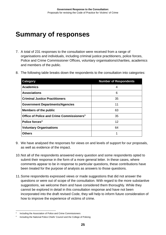## <span id="page-27-0"></span>**Summary of responses**

- 7. A total of 231 responses to the consultation were received from a range of organisations and individuals, including criminal justice practitioners, police forces, Police and Crime Commissioner Offices, voluntary organisations/charities, academics and members of the public.
- 8. The following table breaks down the respondents to the consultation into categories:

| <b>Category</b>                                       | <b>Number of Respondents</b> |
|-------------------------------------------------------|------------------------------|
| <b>Academics</b>                                      | 4                            |
| <b>Associations</b>                                   | 6                            |
| <b>Criminal Justice Practitioners</b>                 | 35                           |
| <b>Government Departments/Agencies</b>                | 11                           |
| Members of the public                                 | 63                           |
| Office of Police and Crime Commissioners <sup>3</sup> | 35                           |
| Police forces <sup>4</sup>                            | 12                           |
| <b>Voluntary Organisations</b>                        | 64                           |
| <b>Others</b>                                         | 1                            |

- 9. We have analysed the responses for views on and levels of support for our proposals, as well as evidence of the impact.
- 10.Not all of the respondents answered every question and some respondents opted to submit their response in the form of a more general letter. In these cases, where comments appear to be in response to particular questions, these contributions have been treated for the purpose of analysis as answers to those questions.
- 11.Some respondents expressed views or made suggestions that did not answer the questions or were out of scope of the consultation. With regard to the more substantive suggestions, we welcome them and have considered them thoroughly. While they cannot be explored in detail in this consultation response and have not been incorporated into the draft revised Code, they will help to inform future consideration of how to improve the experience of victims of crime.

<sup>-</sup>Including the Association of Police and Crime Commissioners

<span id="page-27-2"></span><span id="page-27-1"></span>Including the National Police Chiefs' Council and the College of Policing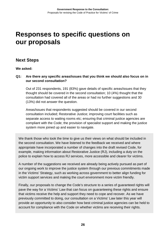### <span id="page-28-0"></span>**Responses to specific questions on our proposals**

### <span id="page-28-1"></span>**Next Steps**

#### **We asked:**

#### **Q1: Are there any specific areas/issues that you think we should also focus on in our second consultation?**

Out of 231 respondents, 191 (83%) gave details of specific areas/issues that they thought should be covered in the second consultation; 10 (4%) thought that the consultation had covered all of the areas or had no further suggestions and 30 (13%) did not answer the question.

Areas/issues that respondents suggested should be covered in our second consultation included; Restorative Justice; improving court facilities such as separate access to waiting rooms etc; ensuring that criminal justice agencies are compliant with the Code; the provision of specialist support and making the justice system more joined up and easier to navigate.

We thank those who took the time to give us their views on what should be included in the second consultation. We have listened to the feedback we received and where appropriate have incorporated a number of changes into the draft revised Code, for example, making information about Restorative Justice (RJ), including a duty on the police to explain how to access RJ services, more accessible and clearer for victims.

A number of the suggestions we received are already being actively pursued as part of our ongoing work to improve the justice system through our previous commitments made in the Victims' Strategy, such as working across government to better align funding for victim support services and making the court environment more victim friendly.

Finally, our proposals to change the Code's structure to a series of guaranteed rights will pave the way for a Victims' Law that can focus on guaranteeing these rights and ensure that victims receive the help and support they need to cope and recover. As we have previously committed to doing, our consultation on a Victims' Law later this year will provide an opportunity to also consider how best criminal justice agencies can be held to account for compliance with the Code on whether victims are receiving their rights.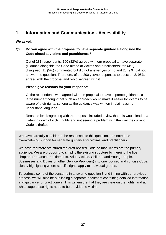### <span id="page-29-0"></span>**1. Information and Communication - Accessibility**

#### **We asked:**

#### **Q2: Do you agree with the proposal to have separate guidance alongside the Code aimed at victims and practitioners?**

Out of 231 respondents, 190 (82%) agreed with our proposal to have separate guidance alongside the Code aimed at victims and practitioners; ten (4%) disagreed; 11 (5%) commented but did not answer yes or no and 20 (9%) did not answer the question. Therefore, of the 200 yes/no responses to question 2, 95% agreed with the proposal and 5% disagreed with it.

#### **Please give reasons for your response:**

Of the respondents who agreed with the proposal to have separate guidance, a large number thought that such an approach would make it easier for victims to be aware of their rights, so long as the guidance was written in plain easy to understand language.

Reasons for disagreeing with the proposal included a view that this would lead to a watering down of victim rights and not seeing a problem with the way the current Code is drafted.

We have carefully considered the responses to this question, and noted the overwhelming support for separate guidance for victims' and practitioners.

We have therefore structured the draft revised Code so that victims are the primary audience. We are proposing to simplify the existing structure by merging the five chapters (Enhanced Entitlements, Adult Victims, Children and Young People, Businesses and Duties on other Service Providers) into one focused and concise Code, clearly highlighting where specific rights apply to individual groups.

To address some of the concerns in answer to question 3 and in-line with our previous proposal we will also be publishing a separate document containing detailed information and guidance for practitioners. This will ensure that they are clear on the rights, and at what stage these rights need to be provided to victims.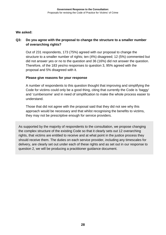#### **We asked:**

#### **Q3: Do you agree with the proposal to change the structure to a smaller number of overarching rights?**

Out of 231 respondents, 173 (75%) agreed with our proposal to change the structure to a smaller number of rights; ten (4%) disagreed; 12 (5%) commented but did not answer yes or no to the question and 36 (16%) did not answer the question. Therefore, of the 183 yes/no responses to question 3, 95% agreed with the proposal and 5% disagreed with it.

#### **Please give reasons for your response**

A number of respondents to this question thought that improving and simplifying the Code for victims could only be a good thing, citing that currently the Code is 'baggy' and 'cumbersome' and in need of simplification to make the whole process easier to understand.

Those that did not agree with the proposal said that they did not see why this approach would be necessary and that whilst recognising the benefits to victims, they may not be prescriptive enough for service providers.

As supported by the majority of respondents to the consultation, we propose changing the complex structure of the existing Code so that it clearly sets out 12 overarching rights, that victims are entitled to receive and at what point in the justice process they should receive them. The duties on each service provider, including any timescales for delivery, are clearly set out under each of these rights and as set out in our response to question 2, we will be producing a practitioner guidance document.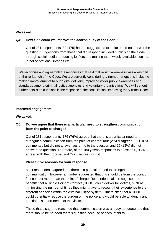#### **We asked:**

#### **Q4: How else could we improve the accessibility of the Code?**

Out of 231 respondents, 39 (175) had no suggestions to make or did not answer the question. Suggestions from those that did respond included publicising the Code through social media, producing leaflets and making them widely available, such as in police stations, libraries etc.

We recognise and agree with the responses that said that raising awareness was a key part of the re-launch of the Code. We are currently considering a number of options including making improvements to our digital delivery, improving wider public awareness and standards among criminal justice agencies and voluntary organisations. We will set out further details on our plans in the response to the consultation: 'Improving the Victims' Code'.

#### **Improved engagement**

#### **We asked:**

#### **Q5: Do you agree that there is a particular need to strengthen communication from the point of charge?**

Out of 231 respondents, 176 (76%) agreed that there is a particular need to strengthen communication from the point of charge; four (2%) disagreed; 22 (10%) commented but did not answer yes or no to the question and 29 (13%) did not answer the question. Therefore, of the 180 yes/no responses to question 5, 98% agreed with the proposal and 2% disagreed with it.

#### **Please give reasons for your response**

Most respondents agreed that there is a particular need to strengthen communication, however a number suggested that this should be from the point of first contact rather than the point of charge. Respondents also recognised the benefits that a Single Point of Contact (SPOC) could deliver for victims, such as minimising the number of times they might have to recount their experience to the different agencies within the criminal justice system. Others cited that a SPOC could potentially reduce the burden on the police and would be able to identify any additional support needs of the victim.

Those that disagreed reasoned that communication was already adequate and that there should be no need for this question because of accountability.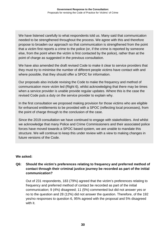We have listened carefully to what respondents told us. Many said that communication needed to be strengthened throughout the process. We agree with this and therefore propose to broaden our approach so that communication is strengthened from the point that a victim first reports a crime to the police (or, if the crime is reported by someone else, from the point when the victim is first contacted by the police), rather than at the point of charge as suggested in the previous consultation.

We have also amended the draft revised Code to make it clear to service providers that they must try to minimise the number of different people victims have contact with and where possible, that they should offer a SPOC for information.

Our proposals also include revising the Code to make the frequency and method of communication more victim led (Right 6), whilst acknowledging that there may be times when a service provider is unable provide regular updates. Where this is the case the revised Code puts a duty on the service provider to explain why.

In the first consultation we proposed making provision for those victims who are eligible for enhanced entitlements to be provided with a SPOC (reflecting local processes), from the point of charge through to the conclusion of the case.

Since the 2019 consultation we have continued to engage with stakeholders. And whilst we acknowledge that many Police and Crime Commissioners and their associated police forces have moved towards a SPOC based system, we are unable to mandate this structure. We will continue to keep this under review with a view to making changes in future versions of the Code.

#### **We asked:**

#### **Q6: Should the victim's preferences relating to frequency and preferred method of contact through their criminal justice journey be recorded as part of the initial communication?**

Out of 231 respondents, 183 (79%) agreed that the victim's preferences relating to frequency and preferred method of contact be recorded as part of the initial communication; 9 (4%) disagreed; 11 (5%) commented but did not answer yes or no to the question and 28 (12%) did not answer the question. Therefore, of the 192 yes/no responses to question 6, 95% agreed with the proposal and 5% disagreed with it.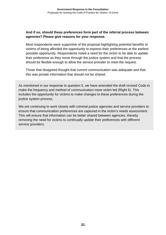#### **And if so, should these preferences form part of the referral process between agencies? Please give reasons for your response.**

Most respondents were supportive of the proposal highlighting potential benefits to victims of being afforded the opportunity to express their preferences at the earliest possible opportunity. Respondents noted a need for the victim to be able to update their preference as they move through the justice system and that the process should be flexible enough to allow the service provider to meet the request.

Those that disagreed thought that current communication was adequate and that this was private information that should not be shared.

As mentioned in our response to question 5, we have amended the draft revised Code to make the frequency and method of communication more victim led (Right 6). This includes the opportunity for victims to make changes to these preferences during the justice system process.

We are continuing to work closely with criminal justice agencies and service providers to ensure that communication preferences are captured in the victim's needs assessment. This will ensure that information can be better shared between agencies, thereby removing the need for victims to continually update their preferences with different service providers.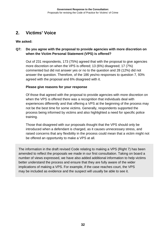### <span id="page-34-0"></span>**2. Victims' Voice**

#### **We asked:**

#### **Q7: Do you agree with the proposal to provide agencies with more discretion on when the Victim Personal Statement (VPS) is offered?**

Out of 231 respondents, 173 (75%) agreed that with the proposal to give agencies more discretion on when the VPS is offered; 13 (6%) disagreed; 17 (7%) commented but did not answer yes or no to the question and 28 (12%) did not answer the question. Therefore, of the 186 yes/no responses to question 7, 93% agreed with the proposal and 6% disagreed with it.

#### **Please give reasons for your response**

Of those that agreed with the proposal to provide agencies with more discretion on when the VPS is offered there was a recognition that individuals deal with experiences differently and that offering a VPS at the beginning of the process may not be the best time for some victims. Generally, respondents supported the process being informed by victims and also highlighted a need for specific police training.

Those that disagreed with our proposals thought that the VPS should only be introduced when a defendant is charged, as it causes unnecessary stress, and raised concerns that any flexibility in the process could mean that a victim might not be offered an opportunity to make a VPS at all.

The information in the draft revised Code relating to making a VPS (Right 7) has been amended to reflect the proposals we made in our first consultation. Taking on board a number of views expressed, we have also added additional information to help victims better understand the process and ensure that they are fully aware of the wider implications of making a VPS. For example, if the case reaches court, the VPS may be included as evidence and the suspect will usually be able to see it.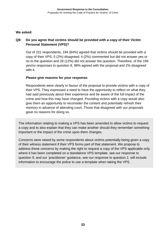#### **We asked:**

#### **Q8: Do you agree that victims should be provided with a copy of their Victim Personal Statement (VPS)?**

Out of 231 respondents, 194 (84%) agreed that victims should be provided with a copy of their VPS; 5 (2%) disagreed; 4 (2%) commented but did not answer yes or no to the question and 28 (12%) did not answer the question. Therefore, of the 199 yes/no responses to question 8, 98% agreed with the proposal and 2% disagreed with it.

#### **Please give reasons for your response.**

Respondents were clearly in favour of the proposal to provide victims with a copy of their VPS. They expressed a need to have the opportunity to reflect on what they had said previously about their experience and be aware of the full impact of the crime and how this may have changed. Providing victims with a copy would also give them an opportunity to reconsider the content and potentially refresh their memory in advance of attending court. Those that disagreed with our proposals gave no reasons for doing so.

The information relating to making a VPS has been amended to allow victims to request a copy and to also explain that they can make another should they remember something important or the impact of the crime upon them changes.

Concerns were raised by some respondents about victims potentially being given a copy of their witness statement if their VPS forms part of that statement. We propose to address these concerns by making the right to request a copy of the VPS applicable only where it has been completed on a standalone VPS template, see our response to question 9, and our 'practitioner' guidance, see our response to question 2, will include information to encourage the police to use a template when taking the VPS.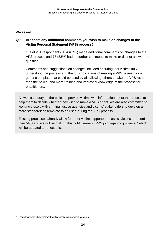**We asked:**

#### **Q9: Are there any additional comments you wish to make on changes to the Victim Personal Statement (VPS) process?**

Out of 231 respondents, 154 (67%) made additional comments on changes to the VPS process and 77 (33%) had no further comments to make or did not answer the question.

Comments and suggestions on changes included ensuring that victims fully understood the process and the full implications of making a VPS; a need for a generic template that could be used by all; allowing others to take the VPS rather than the police; and more training and improved knowledge of the process for practitioners.

As well as a duty on the police to provide victims with information about the process to help them to decide whether they wish to make a VPS or not, we are also committed to working closely with criminal justice agencies and victims' stakeholders to develop a more standardised template to be used during the VPS process.

Existing processes already allow for other victim supporters to assist victims to record their VPS and we will be making this right clearer in VPS joint agency guidance, **[5](#page-36-0)** which will be updated to reflect this.

<span id="page-36-0"></span> <sup>5</sup> <https://www.gov.uk/government/publications/victim-personal-statement>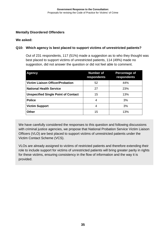#### **Mentally Disordered Offenders**

#### **We asked:**

#### **Q10: Which agency is best placed to support victims of unrestricted patients?**

Out of 231 respondents, 117 (51%) made a suggestion as to who they thought was best placed to support victims of unrestricted patients, 114 (49%) made no suggestion, did not answer the question or did not feel able to comment.

| <b>Agency</b>                              | <b>Number of</b><br>respondents | Percentage of<br>respondents |
|--------------------------------------------|---------------------------------|------------------------------|
| <b>Victim Liaison Officer/Probation</b>    | 52                              | 44%                          |
| <b>National Health Service</b>             | 27                              | 23%                          |
| <b>Unspecified Single Point of Contact</b> | 15                              | 13%                          |
| <b>Police</b>                              | 4                               | 3%                           |
| <b>Victim Support</b>                      | 4                               | 3%                           |
| <b>Other</b>                               | 15                              | 13%                          |

We have carefully considered the responses to this question and following discussions with criminal justice agencies, we propose that National Probation Service Victim Liaison Officers (VLO) are best placed to support victims of unrestricted patients under the Victim Contact Scheme (VCS).

VLOs are already assigned to victims of restricted patients and therefore extending their role to include support for victims of unrestricted patients will bring greater parity in rights for these victims, ensuring consistency in the flow of information and the way it is provided.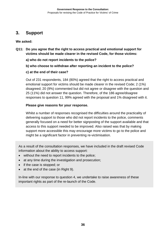### <span id="page-38-0"></span>**3. Support**

**We asked:**

- **Q11: Do you agree that the right to access practical and emotional support for victims should be made clearer in the revised Code, for those victims:** 
	- **a) who do not report incidents to the police?**
	- **b) who choose to withdraw after reporting an incident to the police?**
	- **c) at the end of their case?**

Out of 231 respondents, 184 (80%) agreed that the right to access practical and emotional support for victims should be made clearer in the revised Code; 2 (1%) disagreed; 20 (9%) commented but did not agree or disagree with the question and 25 (11%) did not answer the question. Therefore, of the 186 agree/disagree responses to question 11, 99% agreed with the proposal and 1% disagreed with it.

#### **Please give reasons for your response.**

Whilst a number of responses recognised the difficulties around the practicality of delivering support to those who did not report incidents to the police, comments generally focused on a need for better signposting of the support available and that access to this support needed to be improved. Also raised was that by making support more accessible this may encourage more victims to go to the police and might be a significant factor in preventing re-victimisation.

As a result of the consultation responses, we have included in the draft revised Code information about the ability to access support:

- without the need to report incidents to the police;
- at any time during the investigation and prosecution;
- if the case is stopped; or
- at the end of the case (in Right 9).

In-line with our response to question 4, we undertake to raise awareness of these important rights as part of the re-launch of the Code.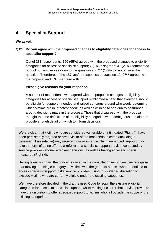### <span id="page-39-0"></span>**4. Specialist Support**

**We asked:**

#### **Q12: Do you agree with the proposed changes to eligibility categories for access to specialist support?**

Out of 231 respondents, 150 (65%) agreed with the proposed changes to eligibility categories for access to specialist support; 7 (3%) disagreed; 47 (20%) commented but did not answer yes or no to the question and 27 (12%) did not answer the question. Therefore, of the 157 yes/no responses to question 12, 97% agreed with the proposal and 3% disagreed with it.

#### **Please give reasons for your response.**

A number of respondents who agreed with the proposed changes to eligibility categories for access to specialist support highlighted a need that everyone should be eligible for support if needed and raised concerns around who would determine which victims are in 'greatest need', as well as wishing to see quality assurance around decisions made in the process. Those that disagreed with the proposal thought that the definitions of the eligibility categories were ambiguous and did not provide enough detail on which to inform decisions.

We are clear that victims who are considered vulnerable or intimidated (Right 4), have been persistently targeted or are a victim of the most serious crime (including a bereaved close relative) may require more assistance. Such 'enhanced' support may take the form of being offered a referral to a specialist support service, contacted by service providers sooner after key decisions, as well as having access to special measures (Right 4).

Having taken on board the concerns raised in the consultation responses, we recognise that moving to a single category of 'victims with the greatest needs', who are entitled to access specialist support, risks service providers using this widened discretion to exclude victims who are currently eligible under the existing categories.

We have therefore decided in the draft revised Code to retain the existing eligibility categories for access to specialist support, whilst making it clearer that service providers have the discretion to offer specialist support to victims who fall outside the scope of the existing categories.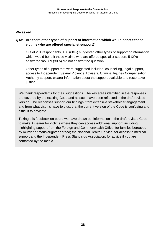**We asked:**

#### **Q13: Are there other types of support or information which would benefit those victims who are offered specialist support?**

Out of 231 respondents, 158 (68%) suggested other types of support or information which would benefit those victims who are offered specialist support; 5 (2%) answered 'no'; 69 (30%) did not answer the question.

Other types of support that were suggested included; counselling, legal support, access to Independent Sexual Violence Advisers, Criminal Injuries Compensation Authority support, clearer information about the support available and restorative justice.

We thank respondents for their suggestions. The key areas identified in the responses are covered by the existing Code and as such have been reflected in the draft revised version. The responses support our findings, from extensive stakeholder engagement and from what victims have told us, that the current version of the Code is confusing and difficult to navigate.

Taking this feedback on board we have drawn out information in the draft revised Code to make it clearer for victims where they can access additional support, including highlighting support from the Foreign and Commonwealth Office, for families bereaved by murder or manslaughter abroad; the National Health Service, for access to medical support and the Independent Press Standards Association, for advice if you are contacted by the media.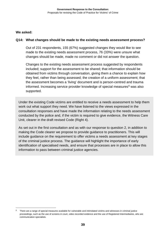#### **We asked:**

#### **Q14: What changes should be made to the existing needs assessment process?**

Out of 231 respondents, 155 (67%) suggested changes they would like to see made to the existing needs assessment process, 76 (33%) were unsure what changes should be made, made no comment or did not answer the question.

Changes to the existing needs assessment process suggested by respondents included; support for the assessment to be shared; that information should be obtained from victims through conversation, giving them a chance to explain how they feel, rather than being assessed; the creation of a uniform assessment; that the assessment becomes a 'living' document and is person-centred and trauma informed. Increasing service provider knowledge of special measures $6$  was also supported.

Under the existing Code victims are entitled to receive a needs assessment to help them work out what support they need. We have listened to the views expressed in the consultation responses and have made the information relating to the needs assessment conducted by the police and, if the victim is required to give evidence, the Witness Care Unit, clearer in the draft revised Code (Right 4).

As set out in the first consultation and as with our response to question 2, in addition to making the Code clearer we propose to provide guidance to practitioners. This will include guidance on the requirement to offer victims a needs assessment at key stages of the criminal justice process. The guidance will highlight the importance of early identification of specialised needs, and ensure that processes are in place to allow this information to pass between criminal justice agencies.

<span id="page-41-0"></span>There are a range of special measures available for vulnerable and intimidated victims and witnesses in criminal justice proceedings, such as the use of screens in court, video recorded evidence and the use of Registered Intermediaries, who are communication specialists.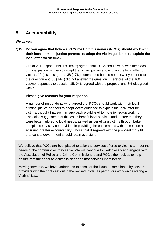### <span id="page-42-0"></span>**5. Accountability**

**We asked:**

#### **Q15: Do you agree that Police and Crime Commissioners (PCCs) should work with their local criminal justice partners to adapt the victim guidance to explain the local offer for victims?**

Out of 231 respondents, 150 (65%) agreed that PCCs should work with their local criminal justice partners to adapt the victim guidance to explain the local offer for victims; 10 (4%) disagreed; 38 (17%) commented but did not answer yes or no to the question and 33 (14%) did not answer the question. Therefore, of the 160 yes/no responses to question 15, 94% agreed with the proposal and 6% disagreed with it.

#### **Please give reasons for your response.**

A number of respondents who agreed that PCCs should work with their local criminal justice partners to adapt victim guidance to explain the local offer for victims, thought that such an approach would lead to more joined-up working. They also suggested that this could benefit local services and ensure that they were better tailored to local needs, as well as benefitting victims through better compliance by service providers in providing the entitlements within the Code and ensuring greater accountability. Those that disagreed with the proposal thought that central government should retain oversight.

We believe that PCCs are best placed to tailor the services offered to victims to meet the needs of the communities they serve. We will continue to work closely and engage with the Association of Police and Crime Commissioners and PCC's themselves to help ensure that their offer to victims is clear and that services meet needs.

Moving forwards, we have undertaken to consider the issue of compliance by service providers with the rights set out in the revised Code, as part of our work on delivering a Victims' Law.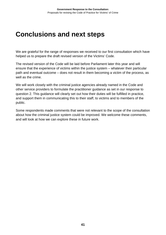## <span id="page-43-0"></span>**Conclusions and next steps**

We are grateful for the range of responses we received to our first consultation which have helped us to prepare the draft revised version of the Victims' Code.

The revised version of the Code will be laid before Parliament later this year and will ensure that the experience of victims within the justice system – whatever their particular path and eventual outcome – does not result in them becoming a victim of the process, as well as the crime.

We will work closely with the criminal justice agencies already named in the Code and other service providers to formulate the practitioner guidance as set in our response to question 2. This guidance will clearly set out how their duties will be fulfilled in practice, and support them in communicating this to their staff, to victims and to members of the public.

Some respondents made comments that were not relevant to the scope of the consultation about how the criminal justice system could be improved. We welcome these comments, and will look at how we can explore these in future work.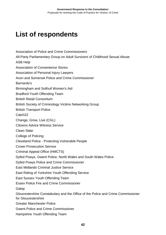## <span id="page-44-0"></span>**List of respondents**

Association of Police and Crime Commissioners All-Party Parliamentary Group on Adult Survivors of Childhood Sexual Abuse ASB Help Association of Convenience Stores Association of Personal Injury Lawyers Avon and Somerset Police and Crime Commissioner Barnardo's Birmingham and Solihull Women's Aid Bradford Youth Offending Team British Retail Consortium British Society of Criminology Victims Networking Group British Transport Police Catch22 Change, Grow, Live (CGL) Citizens Advice Witness Service Clean Slate College of Policing Cleveland Police - Protecting Vulnerable People Crown Prosecution Service Criminal Appeal Office (HMCTS) Dyfed Powys, Gwent Police, North Wales and South Wales Police Dyfed Powys Police and Crime Commissioner East Midlands Criminal Justice Service East Riding of Yorkshire Youth Offending Service East Sussex Youth Offending Team Essex Police Fire and Crime Commissioner Galop Gloucestershire Constabulary and the Office of the Police and Crime Commissioner for Gloucestershire Greater Manchester Police Gwent Police and Crime Commissioner Hampshire Youth Offending Team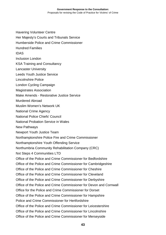- Havering Volunteer Centre
- Her Majesty's Courts and Tribunals Service
- Humberside Police and Crime Commissioner
- Hundred Families

IDAS

- Inclusion London
- KSA Training and Consultancy
- Lancaster University
- Leeds Youth Justice Service
- Lincolnshire Police
- London Cycling Campaign
- Magistrates Association
- Make Amends Restorative Justice Service
- Murdered Abroad
- Muslim Women's Network UK
- National Crime Agency
- National Police Chiefs' Council
- National Probation Service in Wales
- New Pathways
- Newport Youth Justice Team
- Northamptonshire Police Fire and Crime Commissioner
- Northamptonshire Youth Offending Service
- Northumbria Community Rehabilitation Company (CRC)
- Nxt Steps 4 Communities LTD

Office of the Police and Crime Commissioner for Bedfordshire Office of the Police and Crime Commissioner for Cambridgeshire Office of the Police and Crime Commissioner for Cheshire Office of the Police and Crime Commissioner for Cleveland Office of the Police and Crime Commissioner for Derbyshire Office of the Police and Crime Commissioner for Devon and Cornwall Office for the Police and Crime Commissioner for Dorset Office of the Police and Crime Commissioner for Hampshire Police and Crime Commissioner for Hertfordshire Office of the Police and Crime Commissioner for Leicestershire Office of the Police and Crime Commissioner for Lincolnshire Office of the Police and Crime Commissioner for Merseyside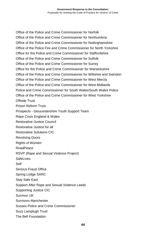Office of the Police and Crime Commissioner for Norfolk Office of the Police and Crime Commissioner for Northumbria Office of the Police and Crime Commissioner for Nottinghamshire Office of the Police Fire and Crime Commissioner for North Yorkshire Office for the Police and Crime Commissioner for Staffordshire Office of the Police and Crime Commissioner for Suffolk Office of the Police and Crime Commissioner for Surrey Office for the Police and Crime Commissioner for Warwickshire Office of the Police and Crime Commissioner for Wiltshire and Swindon Office of the Police and Crime Commissioner for West Mercia Office of the Police and Crime Commissioner for West Midlands Police and Crime Commissioner for South Wales/South Wales Police Office of the Police and Crime Commissioner for West Yorkshire Offside Trust Prison Reform Trust Prospects - Gloucestershire Youth Support Team Rape Crisis England & Wales Restorative Justice Council Restorative Justice for all Restorative Solutions CIC Revolving Doors Rights of Women RoadPeace RSVP (Rape and Sexual Violence Project) **SafeLives** Self Serious Fraud Office Spring Lodge SARC Stay Safe East Support After Rape and Sexual Violence Leeds Supporting Justice CIC Survivor UK Survivors Manchester Sussex Police and Crime Commissioner Suzy Lamplugh Trust The Bell Foundation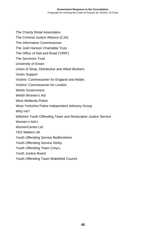The Charity Retail Association

The Criminal Justice Alliance (CJA)

The Information Commissioner

The Josh Hanson Charitable Trust

- The Office of Rail and Road ('ORR')
- The Survivors Trust
- University of Essex

Union of Shop, Distributive and Allied Workers

Victim Support

Victims' Commissioner for England and Wales

Victims' Commissioner for London

Welsh Government

Welsh Women's Aid

West Midlands Police

West Yorkshire Police Independent Advisory Group

Why me?

Wiltshire Youth Offending Team and Restorative Justice Service

Women's Aid's

WomenCentre Ltd

YES Matters UK

Youth Offending Service Bedfordshire

Youth Offending Service Derby

Youth Offending Team Cmyru

Youth Justice Board

Youth Offending Team Wakefield Council